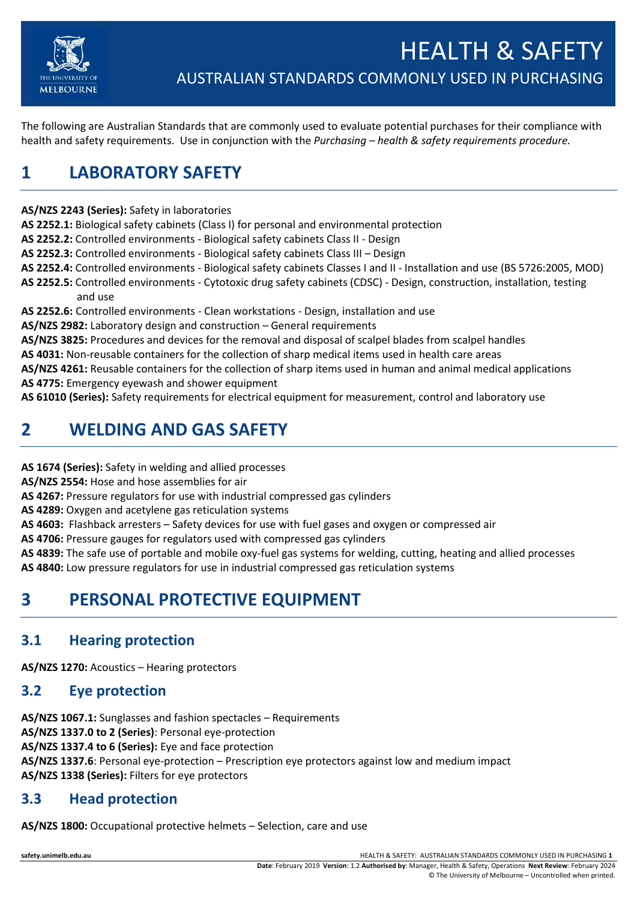

The following are Australian Standards that are commonly used to evaluate potential purchases for their compliance with health and safety requirements. Use in conjunction with the *Purchasing – health & safety requirements procedure.*

# **1 LABORATORY SAFETY**

#### **AS/NZS 2243 (Series):** Safety in laboratories

**AS 2252.1:** Biological safety cabinets (Class I) for personal and environmental protection

**AS 2252.2:** Controlled environments - Biological safety cabinets Class II - Design

**AS 2252.3:** Controlled environments - Biological safety cabinets Class III – Design

- **AS 2252.4:** Controlled environments Biological safety cabinets Classes I and II Installation and use (BS 5726:2005, MOD)
- **AS 2252.5:** Controlled environments Cytotoxic drug safety cabinets (CDSC) Design, construction, installation, testing and use

**AS 2252.6:** Controlled environments - Clean workstations - Design, installation and use

**AS/NZS 2982:** Laboratory design and construction – General requirements

**AS/NZS 3825:** Procedures and devices for the removal and disposal of scalpel blades from scalpel handles

**AS 4031:** Non-reusable containers for the collection of sharp medical items used in health care areas

**AS/NZS 4261:** Reusable containers for the collection of sharp items used in human and animal medical applications **AS 4775:** Emergency eyewash and shower equipment

**AS 61010 (Series):** Safety requirements for electrical equipment for measurement, control and laboratory use

### **2 WELDING AND GAS SAFETY**

**AS 1674 (Series):** Safety in welding and allied processes

**AS/NZS 2554:** Hose and hose assemblies for air

**AS 4267:** Pressure regulators for use with industrial compressed gas cylinders

**AS 4289:** Oxygen and acetylene gas reticulation systems

**AS 4603:** Flashback arresters – Safety devices for use with fuel gases and oxygen or compressed air

**AS 4706:** Pressure gauges for regulators used with compressed gas cylinders

**AS 4839:** The safe use of portable and mobile oxy-fuel gas systems for welding, cutting, heating and allied processes **AS 4840:** Low pressure regulators for use in industrial compressed gas reticulation systems

# **3 PERSONAL PROTECTIVE EQUIPMENT**

### **3.1 Hearing protection**

**AS/NZS 1270:** Acoustics – Hearing protectors

### **3.2 Eye protection**

**AS/NZS 1067.1:** Sunglasses and fashion spectacles – Requirements **AS/NZS 1337.0 to 2 (Series)**: Personal eye-protection **AS/NZS 1337.4 to 6 (Series):** Eye and face protection **AS/NZS 1337.6**: Personal eye-protection – Prescription eye protectors against low and medium impact **AS/NZS 1338 (Series):** Filters for eye protectors

### **3.3 Head protection**

**AS/NZS 1800:** Occupational protective helmets – Selection, care and use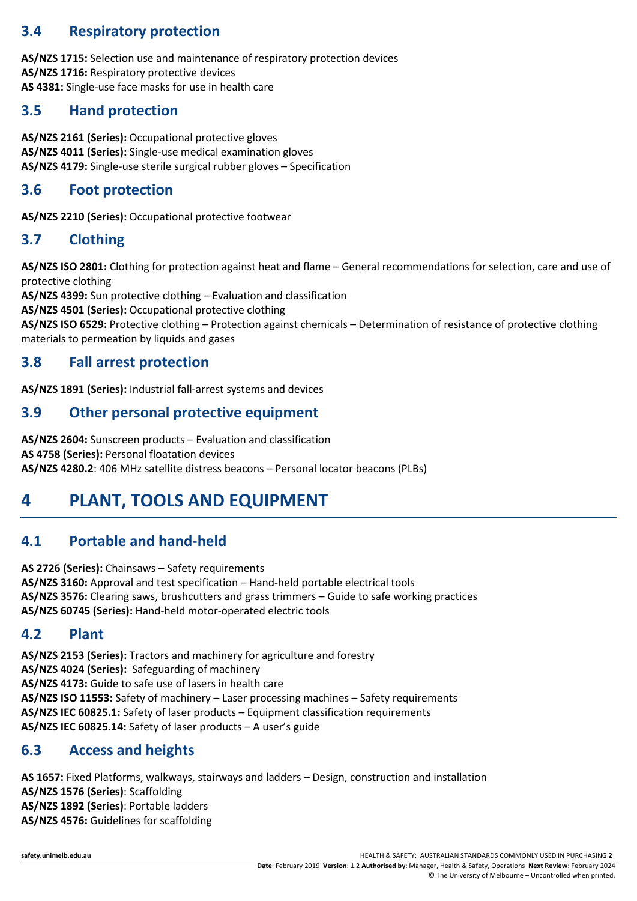### **3.4 Respiratory protection**

**AS/NZS 1715:** Selection use and maintenance of respiratory protection devices **AS/NZS 1716:** Respiratory protective devices **AS 4381:** Single-use face masks for use in health care

#### **3.5 Hand protection**

**AS/NZS 2161 (Series):** Occupational protective gloves **AS/NZS 4011 (Series):** Single-use medical examination gloves **AS/NZS 4179:** Single-use sterile surgical rubber gloves – Specification

#### **3.6 Foot protection**

**AS/NZS 2210 (Series):** Occupational protective footwear

#### **3.7 Clothing**

**AS/NZS ISO 2801:** Clothing for protection against heat and flame – General recommendations for selection, care and use of protective clothing

**AS/NZS 4399:** Sun protective clothing – Evaluation and classification

**AS/NZS 4501 (Series):** Occupational protective clothing

**AS/NZS ISO 6529:** Protective clothing – Protection against chemicals – Determination of resistance of protective clothing materials to permeation by liquids and gases

#### **3.8 Fall arrest protection**

**AS/NZS 1891 (Series):** Industrial fall-arrest systems and devices

#### **3.9 Other personal protective equipment**

**AS/NZS 2604:** Sunscreen products – Evaluation and classification **AS 4758 (Series):** Personal floatation devices **AS/NZS 4280.2**: 406 MHz satellite distress beacons – Personal locator beacons (PLBs)

## **4 PLANT, TOOLS AND EQUIPMENT**

### **4.1 Portable and hand-held**

**AS 2726 (Series):** Chainsaws – Safety requirements **AS/NZS 3160:** Approval and test specification – Hand-held portable electrical tools **AS/NZS 3576:** Clearing saws, brushcutters and grass trimmers – Guide to safe working practices **AS/NZS 60745 (Series):** Hand-held motor-operated electric tools

### **4.2 Plant**

**AS/NZS 2153 (Series):** Tractors and machinery for agriculture and forestry **AS/NZS 4024 (Series):** Safeguarding of machinery **AS/NZS 4173:** Guide to safe use of lasers in health care **AS/NZS ISO 11553:** Safety of machinery – Laser processing machines – Safety requirements **AS/NZS IEC 60825.1:** Safety of laser products – Equipment classification requirements **AS/NZS IEC 60825.14:** Safety of laser products – A user's guide

### **6.3 Access and heights**

**AS 1657:** Fixed Platforms, walkways, stairways and ladders – Design, construction and installation **AS/NZS 1576 (Series)**: Scaffolding **AS/NZS 1892 (Series)**: Portable ladders **AS/NZS 4576:** Guidelines for scaffolding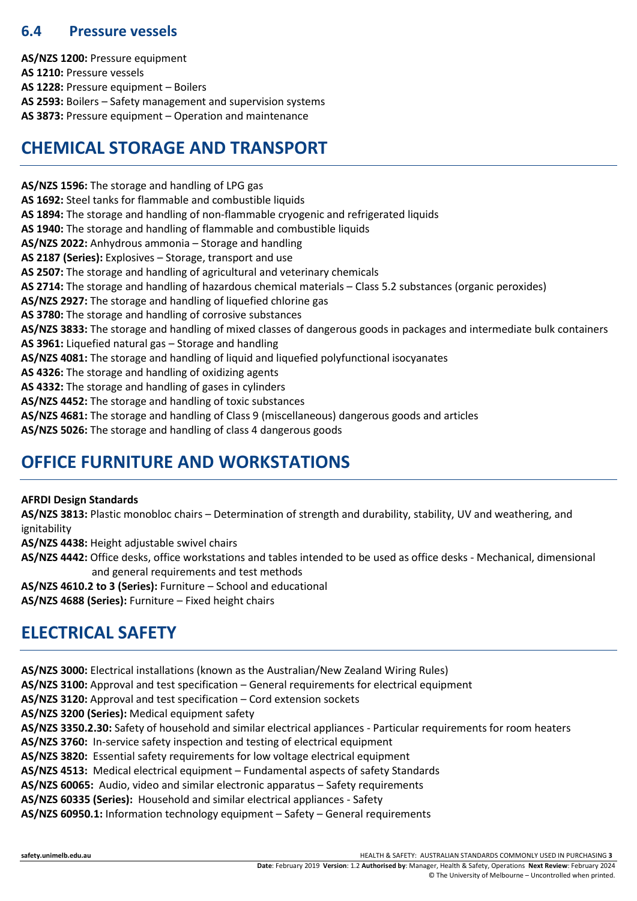#### **6.4 Pressure vessels**

**AS/NZS 1200:** Pressure equipment **AS 1210:** Pressure vessels **AS 1228:** Pressure equipment – Boilers **AS 2593:** Boilers – Safety management and supervision systems **AS 3873:** Pressure equipment – Operation and maintenance

### **CHEMICAL STORAGE AND TRANSPORT**

**AS/NZS 1596:** The storage and handling of LPG gas **AS 1692:** Steel tanks for flammable and combustible liquids **AS 1894:** The storage and handling of non-flammable cryogenic and refrigerated liquids **AS 1940:** The storage and handling of flammable and combustible liquids **AS/NZS 2022:** Anhydrous ammonia – Storage and handling **AS 2187 (Series):** Explosives – Storage, transport and use **AS 2507:** The storage and handling of agricultural and veterinary chemicals **AS 2714:** The storage and handling of hazardous chemical materials – Class 5.2 substances (organic peroxides) **AS/NZS 2927:** The storage and handling of liquefied chlorine gas **AS 3780:** The storage and handling of corrosive substances **AS/NZS 3833:** The storage and handling of mixed classes of dangerous goods in packages and intermediate bulk containers **AS 3961:** Liquefied natural gas – Storage and handling **AS/NZS 4081:** The storage and handling of liquid and liquefied polyfunctional isocyanates **AS 4326:** The storage and handling of oxidizing agents **AS 4332:** The storage and handling of gases in cylinders **AS/NZS 4452:** The storage and handling of toxic substances **AS/NZS 4681:** The storage and handling of Class 9 (miscellaneous) dangerous goods and articles **AS/NZS 5026:** The storage and handling of class 4 dangerous goods

## **OFFICE FURNITURE AND WORKSTATIONS**

#### **AFRDI Design Standards**

**AS/NZS 3813:** Plastic monobloc chairs – Determination of strength and durability, stability, UV and weathering, and ignitability

**AS/NZS 4438:** Height adjustable swivel chairs

**AS/NZS 4442:** Office desks, office workstations and tables intended to be used as office desks - Mechanical, dimensional and general requirements and test methods

**AS/NZS 4610.2 to 3 (Series):** Furniture – School and educational

**AS/NZS 4688 (Series):** Furniture – Fixed height chairs

# **ELECTRICAL SAFETY**

**AS/NZS 3000:** Electrical installations (known as the Australian/New Zealand Wiring Rules) **AS/NZS 3100:** Approval and test specification – General requirements for electrical equipment **AS/NZS 3120:** Approval and test specification – Cord extension sockets **AS/NZS 3200 (Series):** Medical equipment safety **AS/NZS 3350.2.30:** Safety of household and similar electrical appliances - Particular requirements for room heaters **AS/NZS 3760:** In-service safety inspection and testing of electrical equipment **AS/NZS 3820:** Essential safety requirements for low voltage electrical equipment **AS/NZS 4513:** Medical electrical equipment – Fundamental aspects of safety Standards **AS/NZS 60065:** Audio, video and similar electronic apparatus – Safety requirements **AS/NZS 60335 (Series):** Household and similar electrical appliances - Safety **AS/NZS 60950.1:** Information technology equipment – Safety – General requirements